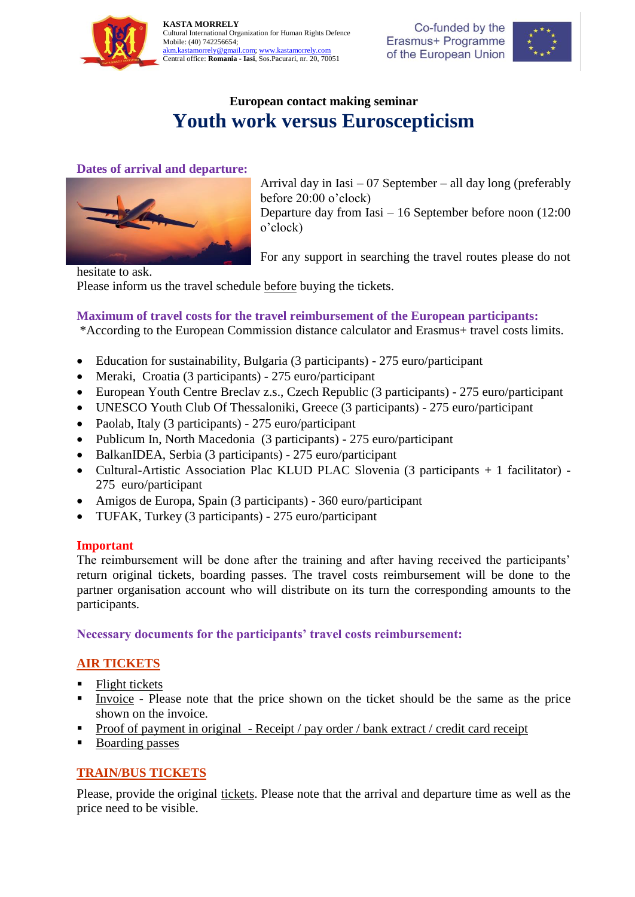



# **European contact making seminar Youth work versus Euroscepticism**

## **Dates of arrival and departure:**



Arrival day in Iasi – 07 September – all day long (preferably before 20:00 o'clock) Departure day from Iasi – 16 September before noon (12:00 o'clock)

For any support in searching the travel routes please do not

hesitate to ask.

Please inform us the travel schedule before buying the tickets.

# **Maximum of travel costs for the travel reimbursement of the European participants:**

\*According to the European Commission distance calculator and Erasmus+ travel costs limits.

- Education for sustainability, Bulgaria (3 participants) 275 euro/participant
- Meraki, Croatia (3 participants) 275 euro/participant
- European Youth Centre Breclav z.s., Czech Republic (3 participants) 275 euro/participant
- UNESCO Youth Club Of Thessaloniki, Greece (3 participants) 275 euro/participant
- Paolab, Italy (3 participants) 275 euro/participant
- Publicum In, North Macedonia (3 participants) 275 euro/participant
- BalkanIDEA, Serbia (3 participants) 275 euro/participant
- Cultural-Artistic Association Plac KLUD PLAC Slovenia (3 participants + 1 facilitator) 275 euro/participant
- Amigos de Europa, Spain (3 participants) 360 euro/participant
- TUFAK, Turkey (3 participants) 275 euro/participant

#### **Important**

The reimbursement will be done after the training and after having received the participants' return original tickets, boarding passes. The travel costs reimbursement will be done to the partner organisation account who will distribute on its turn the corresponding amounts to the participants.

**Necessary documents for the participants' travel costs reimbursement:**

# **AIR TICKETS**

- $\blacksquare$  Flight tickets
- Invoice Please note that the price shown on the ticket should be the same as the price shown on the invoice.
- Proof of payment in original Receipt / pay order / bank extract / credit card receipt
- Boarding passes

# **TRAIN/BUS TICKETS**

Please, provide the original tickets. Please note that the arrival and departure time as well as the price need to be visible.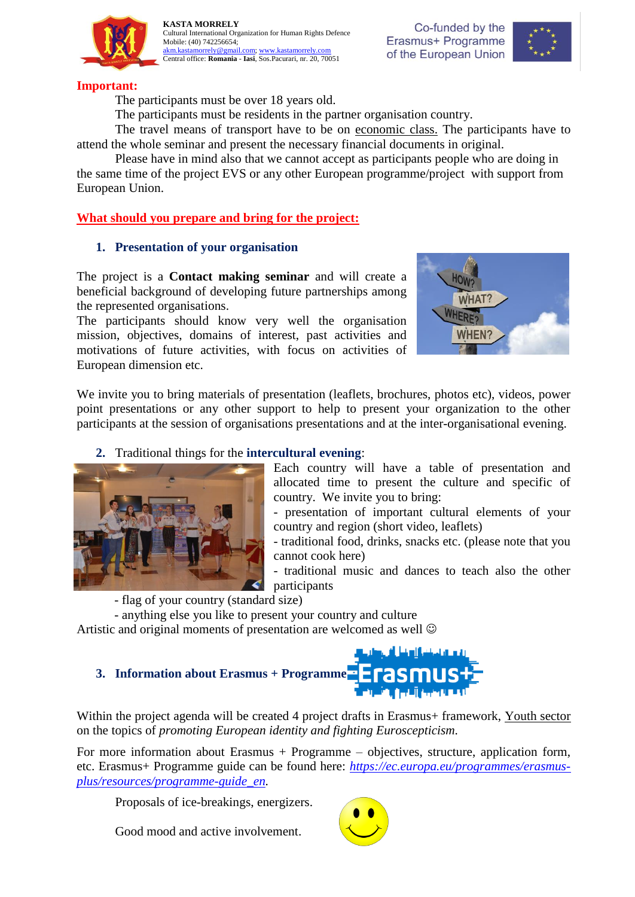



### **Important:**

The participants must be over 18 years old.

The participants must be residents in the partner organisation country.

The travel means of transport have to be on economic class. The participants have to attend the whole seminar and present the necessary financial documents in original.

Please have in mind also that we cannot accept as participants people who are doing in the same time of the project EVS or any other European programme/project with support from European Union.

# **What should you prepare and bring for the project:**

### **1. Presentation of your organisation**

The project is a **Contact making seminar** and will create a beneficial background of developing future partnerships among the represented organisations.

The participants should know very well the organisation mission, objectives, domains of interest, past activities and motivations of future activities, with focus on activities of European dimension etc.



We invite you to bring materials of presentation (leaflets, brochures, photos etc), videos, power point presentations or any other support to help to present your organization to the other participants at the session of organisations presentations and at the inter-organisational evening.

# **2.** Traditional things for the **intercultural evening**:



Each country will have a table of presentation and allocated time to present the culture and specific of country. We invite you to bring:

- presentation of important cultural elements of your country and region (short video, leaflets)

- traditional food, drinks, snacks etc. (please note that you cannot cook here)

- traditional music and dances to teach also the other participants

- flag of your country (standard size)

- anything else you like to present your country and culture Artistic and original moments of presentation are welcomed as well

# **3. Information about Erasmus + Programme** t fall berken

Within the project agenda will be created 4 project drafts in Erasmus+ framework, Youth sector on the topics of *promoting European identity and fighting Euroscepticism.*

For more information about Erasmus  $+$  Programme  $-$  objectives, structure, application form, etc. Erasmus+ Programme guide can be found here: *[https://ec.europa.eu/programmes/erasmus](https://ec.europa.eu/programmes/erasmus-plus/resources/programme-guide_en)[plus/resources/programme-guide\\_en.](https://ec.europa.eu/programmes/erasmus-plus/resources/programme-guide_en)*

Proposals of ice-breakings, energizers.

Good mood and active involvement.